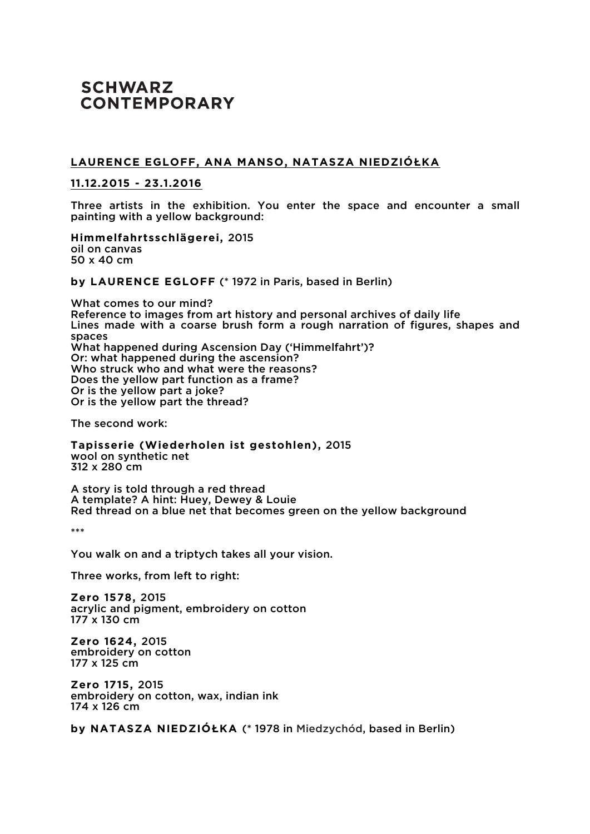## **SCHWARZ CONTEMPORARY**

## LAURENCE EGLOFF, ANA MANSO, NATASZA NIEDZIÓŁKA

## **11.12.2015 - 23.1.2016**

Three artists in the exhibition. You enter the space and encounter a small painting with a yellow background:

**Himmelfahrtsschlägerei,** 2015 oil on canvas 50 x 40 cm

**by LAURENCE EGLOFF** (\* 1972 in Paris, based in Berlin)

What comes to our mind? Reference to images from art history and personal archives of daily life Lines made with a coarse brush form a rough narration of figures, shapes and spaces What happened during Ascension Day ('Himmelfahrt')? Or: what happened during the ascension? Who struck who and what were the reasons? Does the yellow part function as a frame? Or is the yellow part a joke? Or is the yellow part the thread?

The second work:

**Tapisserie (Wiederholen ist gestohlen),** 2015 wool on synthetic net 312 x 280 cm

A story is told through a red thread A template? A hint: Huey, Dewey & Louie Red thread on a blue net that becomes green on the yellow background

\*\*\*

You walk on and a triptych takes all your vision.

Three works, from left to right:

**Zero 1578,** 2015 acrylic and pigment, embroidery on cotton 177 x 130 cm

**Zero 1624,** 2015 embroidery on cotton 177 x 125 cm

**Zero 1715,** 2015 embroidery on cotton, wax, indian ink 174 x 126 cm

**by NATASZA NIEDZIÓ⇤KA** (\* 1978 in Miedzychód, based in Berlin)